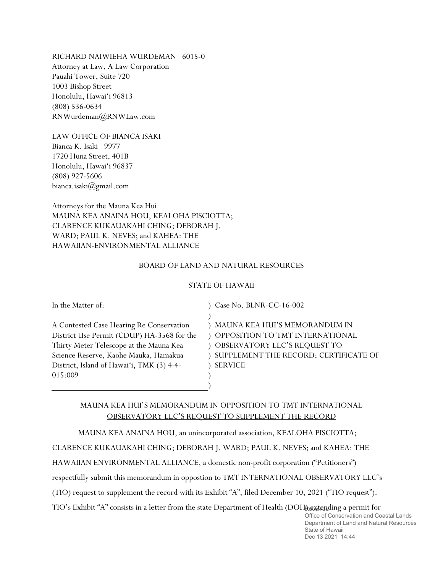RICHARD NAIWIEHA WURDEMAN 6015-0 Attorney at Law, A Law Corporation Pauahi Tower, Suite 720 1003 Bishop Street Honolulu, Hawai'i 96813 (808) 536-0634 RNWurdeman@RNWLaw.com

LAW OFFICE OF BIANCA ISAKI Bianca K. Isaki 9977 1720 Huna Street, 401B Honolulu, Hawai'i 96837 (808) 927-5606 bianca.isaki@gmail.com

Attorneys for the Mauna Kea Hui MAUNA KEA ANAINA HOU, KEALOHA PISCIOTTA; CLARENCE KUKAUAKAHI CHING; DEBORAH J. WARD; PAUL K. NEVES; and KAHEA: THE HAWAIIAN-ENVIRONMENTAL ALLIANCE

## BOARD OF LAND AND NATURAL RESOURCES

## STATE OF HAWAII

 $\lambda$ 

) )

In the Matter of:

A Contested Case Hearing Re Conservation District Use Permit (CDUP) HA-3568 for the Thirty Meter Telescope at the Mauna Kea Science Reserve, Kaohe Mauka, Hamakua District, Island of Hawai'i, TMK (3) 4-4- 015:009

) Case No. BLNR-CC-16-002

) MAUNA KEA HUI'S MEMORANDUM IN ) OPPOSITION TO TMT INTERNATIONAL ) OBSERVATORY LLC'S REQUEST TO ) SUPPLEMENT THE RECORD; CERTIFICATE OF ) SERVICE

## MAUNA KEA HUI'S MEMORANDUM IN OPPOSITION TO TMT INTERNATIONAL OBSERVATORY LLC'S REQUEST TO SUPPLEMENT THE RECORD

MAUNA KEA ANAINA HOU, an unincorporated association, KEALOHA PISCIOTTA;

CLARENCE KUKAUAKAHI CHING; DEBORAH J. WARD; PAUL K. NEVES; and KAHEA: THE

HAWAIIAN ENVIRONMENTAL ALLIANCE, a domestic non-profit corporation ("Petitioners")

respectfully submit this memorandum in oppostion to TMT INTERNATIONAL OBSERVATORY LLC's

(TIO) request to supplement the record with its Exhibit "A", filed December 10, 2021 ("TIO request").

TIO's Exhibit "A" consists in a letter from the state Department of Health (DOH) extending a permit for

Office of Conservation and Coastal Lands Department of Land and Natural Resources State of Hawaii Dec 13 2021 14:44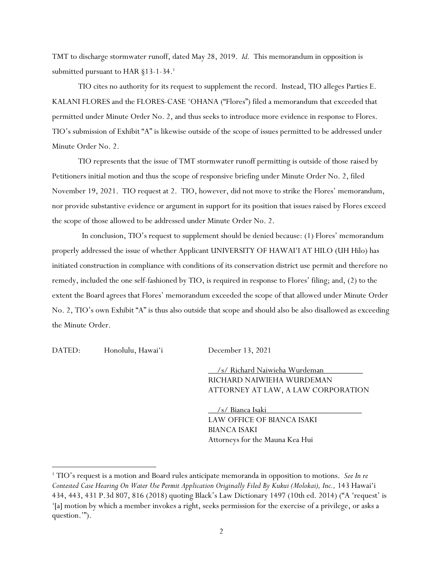TMT to discharge stormwater runoff, dated May 28, 2019. *Id.* This memorandum in opposition is submitted pursuant to HAR §13-1-34.<sup>1</sup>

TIO cites no authority for its request to supplement the record. Instead, TIO alleges Parties E. KALANI FLORES and the FLORES-CASE 'OHANA ("Flores") filed a memorandum that exceeded that permitted under Minute Order No. 2, and thus seeks to introduce more evidence in response to Flores. TIO's submission of Exhibit "A" is likewise outside of the scope of issues permitted to be addressed under Minute Order No. 2.

TIO represents that the issue of TMT stormwater runoff permitting is outside of those raised by Petitioners initial motion and thus the scope of responsive briefing under Minute Order No. 2, filed November 19, 2021. TIO request at 2. TIO, however, did not move to strike the Flores' memorandum, nor provide substantive evidence or argument in support for its position that issues raised by Flores exceed the scope of those allowed to be addressed under Minute Order No. 2.

 In conclusion, TIO's request to supplement should be denied because: (1) Flores' memorandum properly addressed the issue of whether Applicant UNIVERSITY OF HAWAI'I AT HILO (UH Hilo) has initiated construction in compliance with conditions of its conservation district use permit and therefore no remedy, included the one self-fashioned by TIO, is required in response to Flores' filing; and, (2) to the extent the Board agrees that Flores' memorandum exceeded the scope of that allowed under Minute Order No. 2, TIO's own Exhibit "A" is thus also outside that scope and should also be also disallowed as exceeding the Minute Order.

DATED: Honolulu, Hawai'i December 13, 2021

 $\overline{a}$ 

/s/ Richard Naiwieha Wurdeman RICHARD NAIWIEHA WURDEMAN ATTORNEY AT LAW, A LAW CORPORATION

/s/ Bianca Isaki LAW OFFICE OF BIANCA ISAKI BIANCA ISAKI Attorneys for the Mauna Kea Hui

<sup>1</sup> TIO's request is a motion and Board rules anticipate memoranda in opposition to motions. *See In re Contested Case Hearing On Water Use Permit Application Originally Filed By Kukui (Molokai), Inc.,* 143 Hawai'i 434, 443, 431 P.3d 807, 816 (2018) quoting Black's Law Dictionary 1497 (10th ed. 2014) ("A 'request' is '[a] motion by which a member invokes a right, seeks permission for the exercise of a privilege, or asks a question.'").